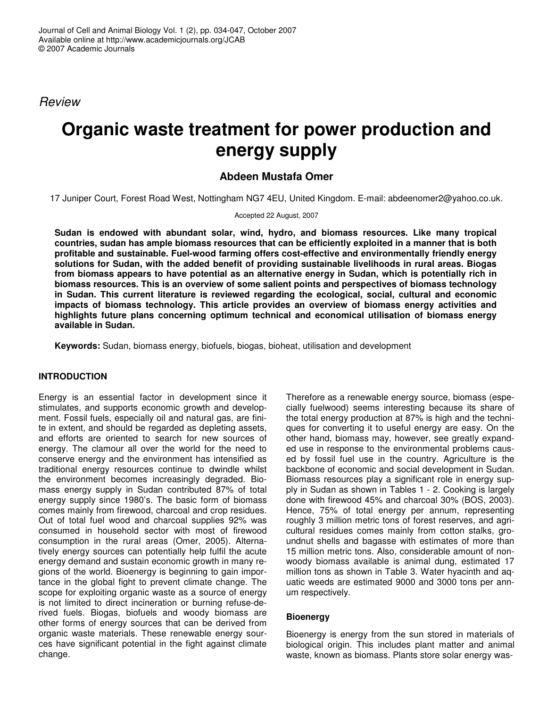*Review*

# **Organic waste treatment for power production and energy supply**

## **Abdeen Mustafa Omer**

17 Juniper Court, Forest Road West, Nottingham NG7 4EU, United Kingdom. E-mail: abdeenomer2@yahoo.co.uk.

Accepted 22 August, 2007

**Sudan is endowed with abundant solar, wind, hydro, and biomass resources. Like many tropical countries, sudan has ample biomass resources that can be efficiently exploited in a manner that is both profitable and sustainable. Fuel-wood farming offers cost-effective and environmentally friendly energy solutions for Sudan, with the added benefit of providing sustainable livelihoods in rural areas. Biogas from biomass appears to have potential as an alternative energy in Sudan, which is potentially rich in biomass resources. This is an overview of some salient points and perspectives of biomass technology in Sudan. This current literature is reviewed regarding the ecological, social, cultural and economic impacts of biomass technology. This article provides an overview of biomass energy activities and highlights future plans concerning optimum technical and economical utilisation of biomass energy available in Sudan.**

**Keywords:** Sudan, biomass energy, biofuels, biogas, bioheat, utilisation and development

## **INTRODUCTION**

Energy is an essential factor in development since it stimulates, and supports economic growth and development. Fossil fuels, especially oil and natural gas, are finite in extent, and should be regarded as depleting assets, and efforts are oriented to search for new sources of energy. The clamour all over the world for the need to conserve energy and the environment has intensified as traditional energy resources continue to dwindle whilst the environment becomes increasingly degraded. Biomass energy supply in Sudan contributed 87% of total energy supply since 1980's. The basic form of biomass comes mainly from firewood, charcoal and crop residues. Out of total fuel wood and charcoal supplies 92% was consumed in household sector with most of firewood consumption in the rural areas (Omer, 2005). Alternatively energy sources can potentially help fulfil the acute energy demand and sustain economic growth in many regions of the world. Bioenergy is beginning to gain importance in the global fight to prevent climate change. The scope for exploiting organic waste as a source of energy is not limited to direct incineration or burning refuse-derived fuels. Biogas, biofuels and woody biomass are other forms of energy sources that can be derived from organic waste materials. These renewable energy sources have significant potential in the fight against climate change.

Therefore as a renewable energy source, biomass (especially fuelwood) seems interesting because its share of the total energy production at 87% is high and the techniques for converting it to useful energy are easy. On the other hand, biomass may, however, see greatly expanded use in response to the environmental problems caused by fossil fuel use in the country. Agriculture is the backbone of economic and social development in Sudan. Biomass resources play a significant role in energy supply in Sudan as shown in Tables 1 - 2. Cooking is largely done with firewood 45% and charcoal 30% (BOS, 2003). Hence, 75% of total energy per annum, representing roughly 3 million metric tons of forest reserves, and agricultural residues comes mainly from cotton stalks, groundnut shells and bagasse with estimates of more than 15 million metric tons. Also, considerable amount of nonwoody biomass available is animal dung, estimated 17 million tons as shown in Table 3. Water hyacinth and aquatic weeds are estimated 9000 and 3000 tons per annum respectively.

## **Bioenergy**

Bioenergy is energy from the sun stored in materials of biological origin. This includes plant matter and animal waste, known as biomass. Plants store solar energy was-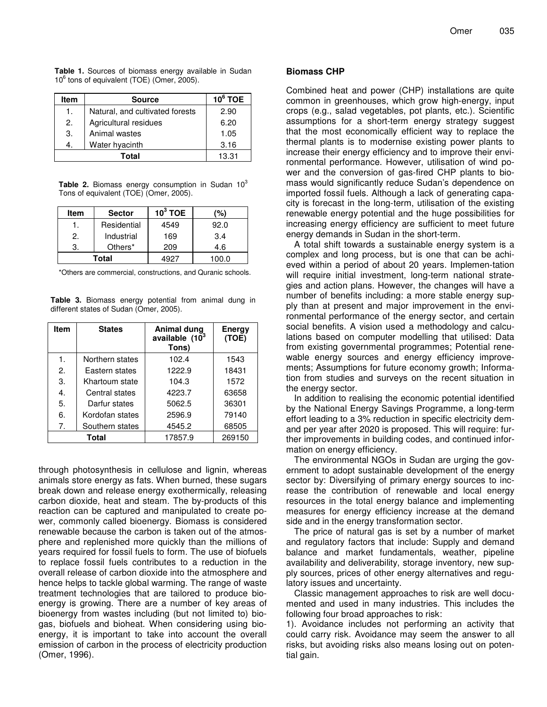|  | <b>Table 1.</b> Sources of biomass energy available in Sudan |  |  |
|--|--------------------------------------------------------------|--|--|
|  | 10 <sup>6</sup> tons of equivalent (TOE) (Omer, 2005).       |  |  |

| Item | <b>Source</b>                   | $10^6$ TOE |
|------|---------------------------------|------------|
| 1.   | Natural, and cultivated forests | 2.90       |
| 2.   | Agricultural residues           | 6.20       |
| 3.   | Animal wastes                   | 1.05       |
| 4.   | Water hyacinth                  | 3.16       |
|      | 13.31                           |            |

**Table 2.** Biomass energy consumption in Sudan 10 3 Tons of equivalent (TOE) (Omer, 2005).

| Item  | <b>Sector</b> | $10^3$ TOE | %)    |
|-------|---------------|------------|-------|
|       | Residential   | 4549       | 92.0  |
| 2.    | Industrial    | 169        | 3.4   |
| З     | Others*       | 209        | 4.6   |
| Total |               |            | 100.0 |

\*Others are commercial, constructions, and Quranic schools.

**Table 3.** Biomass energy potential from animal dung in different states of Sudan (Omer, 2005).

| <b>Item</b>    | <b>States</b>   | Animal dung<br>available $(10^3$<br>Tons) | Energy<br>(TOE) |
|----------------|-----------------|-------------------------------------------|-----------------|
| 1 <sub>1</sub> | Northern states | 102.4                                     | 1543            |
| 2.             | Eastern states  | 1222.9                                    | 18431           |
| 3.             | Khartoum state  | 104.3                                     | 1572            |
| 4.             | Central states  | 4223.7                                    | 63658           |
| 5.             | Darfur states   | 5062.5                                    | 36301           |
| 6.             | Kordofan states | 2596.9                                    | 79140           |
| 7.             | Southern states | 4545.2                                    | 68505           |
|                | Total           | 17857.9                                   | 269150          |

through photosynthesis in cellulose and lignin, whereas animals store energy as fats. When burned, these sugars break down and release energy exothermically, releasing carbon dioxide, heat and steam. The by-products of this reaction can be captured and manipulated to create power, commonly called bioenergy. Biomass is considered renewable because the carbon is taken out of the atmosphere and replenished more quickly than the millions of years required for fossil fuels to form. The use of biofuels to replace fossil fuels contributes to a reduction in the overall release of carbon dioxide into the atmosphere and hence helps to tackle global warming. The range of waste treatment technologies that are tailored to produce bioenergy is growing. There are a number of key areas of bioenergy from wastes including (but not limited to) biogas, biofuels and bioheat. When considering using bioenergy, it is important to take into account the overall emission of carbon in the process of electricity production (Omer, 1996).

#### **Biomass CHP**

Combined heat and power (CHP) installations are quite common in greenhouses, which grow high-energy, input crops (e.g., salad vegetables, pot plants, etc.). Scientific assumptions for a short-term energy strategy suggest that the most economically efficient way to replace the thermal plants is to modernise existing power plants to increase their energy efficiency and to improve their environmental performance. However, utilisation of wind power and the conversion of gas-fired CHP plants to biomass would significantly reduce Sudan's dependence on imported fossil fuels. Although a lack of generating capacity is forecast in the long-term, utilisation of the existing renewable energy potential and the huge possibilities for increasing energy efficiency are sufficient to meet future energy demands in Sudan in the short-term.

A total shift towards a sustainable energy system is a complex and long process, but is one that can be achieved within a period of about 20 years. Implemen-tation will require initial investment, long-term national strategies and action plans. However, the changes will have a number of benefits including: a more stable energy supply than at present and major improvement in the environmental performance of the energy sector, and certain social benefits. A vision used a methodology and calculations based on computer modelling that utilised: Data from existing governmental programmes; Potential renewable energy sources and energy efficiency improvements; Assumptions for future economy growth; Information from studies and surveys on the recent situation in the energy sector.

In addition to realising the economic potential identified by the National Energy Savings Programme, a long-term effort leading to a 3% reduction in specific electricity demand per year after 2020 is proposed. This will require: further improvements in building codes, and continued information on energy efficiency.

The environmental NGOs in Sudan are urging the government to adopt sustainable development of the energy sector by: Diversifying of primary energy sources to increase the contribution of renewable and local energy resources in the total energy balance and implementing measures for energy efficiency increase at the demand side and in the energy transformation sector.

The price of natural gas is set by a number of market and regulatory factors that include: Supply and demand balance and market fundamentals, weather, pipeline availability and deliverability, storage inventory, new supply sources, prices of other energy alternatives and regulatory issues and uncertainty.

Classic management approaches to risk are well documented and used in many industries. This includes the following four broad approaches to risk:

1). Avoidance includes not performing an activity that could carry risk. Avoidance may seem the answer to all risks, but avoiding risks also means losing out on potential gain.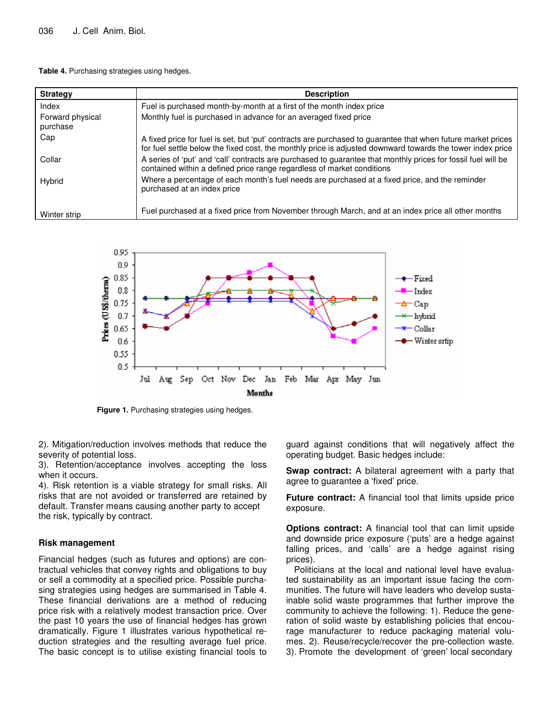#### **Table 4.** Purchasing strategies using hedges.

| <b>Strategy</b>              | <b>Description</b>                                                                                                                                                                                                         |
|------------------------------|----------------------------------------------------------------------------------------------------------------------------------------------------------------------------------------------------------------------------|
| Index                        | Fuel is purchased month-by-month at a first of the month index price                                                                                                                                                       |
| Forward physical<br>purchase | Monthly fuel is purchased in advance for an averaged fixed price                                                                                                                                                           |
| Cap                          | A fixed price for fuel is set, but 'put' contracts are purchased to guarantee that when future market prices<br>for fuel settle below the fixed cost, the monthly price is adjusted downward towards the tower index price |
| Collar                       | A series of 'put' and 'call' contracts are purchased to guarantee that monthly prices for fossil fuel will be<br>contained within a defined price range regardless of market conditions                                    |
| Hybrid                       | Where a percentage of each month's fuel needs are purchased at a fixed price, and the reminder<br>purchased at an index price                                                                                              |
| Winter strip                 | Fuel purchased at a fixed price from November through March, and at an index price all other months                                                                                                                        |



**Figure 1.** Purchasing strategies using hedges.

2). Mitigation/reduction involves methods that reduce the severity of potential loss.

3). Retention/acceptance involves accepting the loss when it occurs.

4). Risk retention is a viable strategy for small risks. All risks that are not avoided or transferred are retained by default. Transfer means causing another party to accept the risk, typically by contract.

## **Risk management**

Financial hedges (such as futures and options) are contractual vehicles that convey rights and obligations to buy or sell a commodity at a specified price. Possible purchasing strategies using hedges are summarised in Table 4. These financial derivations are a method of reducing price risk with a relatively modest transaction price. Over the past 10 years the use of financial hedges has grown dramatically. Figure 1 illustrates various hypothetical reduction strategies and the resulting average fuel price. The basic concept is to utilise existing financial tools to guard against conditions that will negatively affect the operating budget. Basic hedges include:

**Swap contract:** A bilateral agreement with a party that agree to guarantee a 'fixed' price.

**Future contract:** A financial tool that limits upside price exposure.

**Options contract:** A financial tool that can limit upside and downside price exposure ('puts' are a hedge against falling prices, and 'calls' are a hedge against rising prices).

Politicians at the local and national level have evaluated sustainability as an important issue facing the communities. The future will have leaders who develop sustainable solid waste programmes that further improve the community to achieve the following: 1). Reduce the generation of solid waste by establishing policies that encourage manufacturer to reduce packaging material volumes. 2). Reuse/recycle/recover the pre-collection waste. 3). Promote the development of 'green' local secondary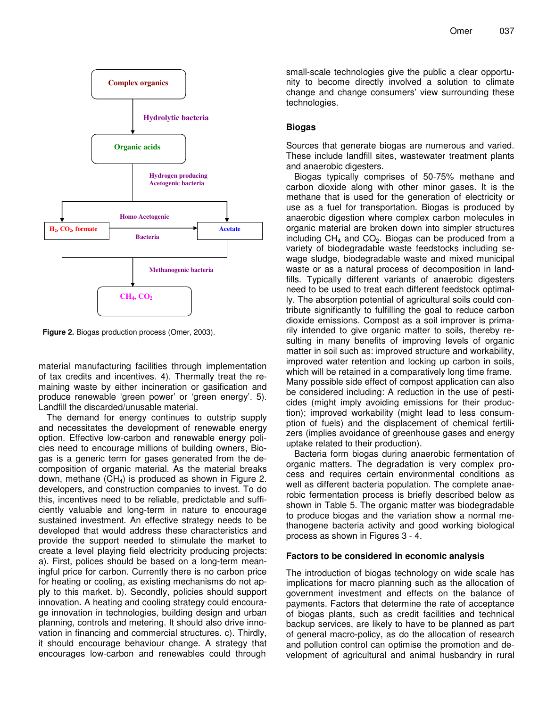

**Figure 2.** Biogas production process (Omer, 2003).

material manufacturing facilities through implementation of tax credits and incentives. 4). Thermally treat the remaining waste by either incineration or gasification and produce renewable 'green power' or 'green energy'. 5). Landfill the discarded/unusable material.

The demand for energy continues to outstrip supply and necessitates the development of renewable energy option. Effective low-carbon and renewable energy policies need to encourage millions of building owners, Biogas is a generic term for gases generated from the decomposition of organic material. As the material breaks down, methane  $(CH_4)$  is produced as shown in Figure 2. developers, and construction companies to invest. To do this, incentives need to be reliable, predictable and sufficiently valuable and long-term in nature to encourage sustained investment. An effective strategy needs to be developed that would address these characteristics and provide the support needed to stimulate the market to create a level playing field electricity producing projects: a). First, polices should be based on a long-term meaningful price for carbon. Currently there is no carbon price for heating or cooling, as existing mechanisms do not apply to this market. b). Secondly, policies should support innovation. A heating and cooling strategy could encourage innovation in technologies, building design and urban planning, controls and metering. It should also drive innovation in financing and commercial structures. c). Thirdly, it should encourage behaviour change. A strategy that encourages low-carbon and renewables could through

small-scale technologies give the public a clear opportunity to become directly involved a solution to climate change and change consumers' view surrounding these technologies.

## **Biogas**

Sources that generate biogas are numerous and varied. These include landfill sites, wastewater treatment plants and anaerobic digesters.

Biogas typically comprises of 50-75% methane and carbon dioxide along with other minor gases. It is the methane that is used for the generation of electricity or use as a fuel for transportation. Biogas is produced by anaerobic digestion where complex carbon molecules in organic material are broken down into simpler structures including  $CH_4$  and  $CO_2$ . Biogas can be produced from a variety of biodegradable waste feedstocks including sewage sludge, biodegradable waste and mixed municipal waste or as a natural process of decomposition in landfills. Typically different variants of anaerobic digesters need to be used to treat each different feedstock optimally. The absorption potential of agricultural soils could contribute significantly to fulfilling the goal to reduce carbon dioxide emissions. Compost as a soil improver is primarily intended to give organic matter to soils, thereby resulting in many benefits of improving levels of organic matter in soil such as: improved structure and workability, improved water retention and locking up carbon in soils, which will be retained in a comparatively long time frame. Many possible side effect of compost application can also be considered including: A reduction in the use of pesticides (might imply avoiding emissions for their production); improved workability (might lead to less consumption of fuels) and the displacement of chemical fertilizers (implies avoidance of greenhouse gases and energy uptake related to their production).

Bacteria form biogas during anaerobic fermentation of organic matters. The degradation is very complex process and requires certain environmental conditions as well as different bacteria population. The complete anaerobic fermentation process is briefly described below as shown in Table 5. The organic matter was biodegradable to produce biogas and the variation show a normal methanogene bacteria activity and good working biological process as shown in Figures 3 - 4.

#### **Factors to be considered in economic analysis**

The introduction of biogas technology on wide scale has implications for macro planning such as the allocation of government investment and effects on the balance of payments. Factors that determine the rate of acceptance of biogas plants, such as credit facilities and technical backup services, are likely to have to be planned as part of general macro-policy, as do the allocation of research and pollution control can optimise the promotion and development of agricultural and animal husbandry in rural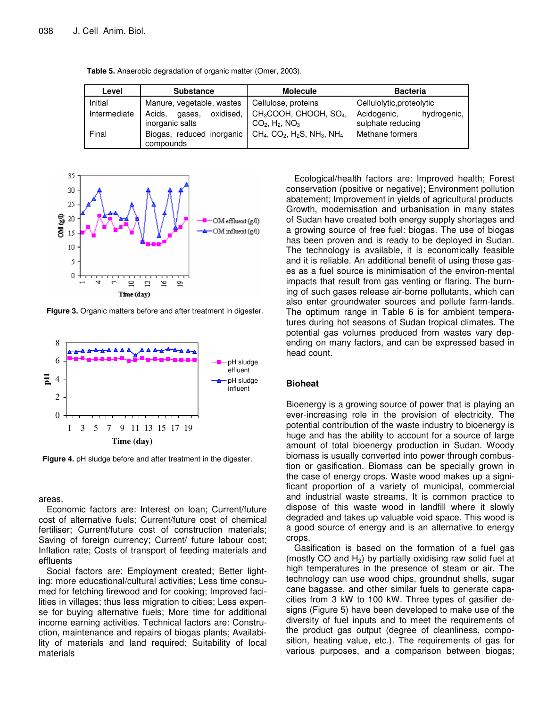| Level        | <b>Substance</b>                                 | <b>Molecule</b>                                                                            | <b>Bacteria</b>                                 |
|--------------|--------------------------------------------------|--------------------------------------------------------------------------------------------|-------------------------------------------------|
| Initial      | Manure, vegetable, wastes                        | Cellulose, proteins                                                                        | Cellulolytic, proteolytic                       |
| Intermediate | oxidised,<br>Acids.<br>gases.<br>inorganic salts | CH <sub>3</sub> COOH, CHOOH, SO <sub>4</sub> ,<br>$CO2$ , H <sub>2</sub> , NO <sub>3</sub> | Acidogenic,<br>hydrogenic,<br>sulphate reducing |
| Final        | Biogas, reduced inorganic<br>compounds           | CH <sub>4</sub> , CO <sub>2</sub> , H <sub>2</sub> S, NH <sub>3</sub> , NH <sub>4</sub>    | Methane formers                                 |

**Table 5.** Anaerobic degradation of organic matter (Omer, 2003).



**Figure 3.** Organic matters before and after treatment in digester.



**Figure 4.** pH sludge before and after treatment in the digester.

areas.

Economic factors are: Interest on loan; Current/future cost of alternative fuels; Current/future cost of chemical fertiliser; Current/future cost of construction materials; Saving of foreign currency; Current/ future labour cost; Inflation rate; Costs of transport of feeding materials and effluents

Social factors are: Employment created; Better lighting: more educational/cultural activities; Less time consumed for fetching firewood and for cooking; Improved facilities in villages; thus less migration to cities; Less expense for buying alternative fuels; More time for additional income earning activities. Technical factors are: Construction, maintenance and repairs of biogas plants; Availability of materials and land required; Suitability of local materials

Ecological/health factors are: Improved health; Forest conservation (positive or negative); Environment pollution abatement; Improvement in yields of agricultural products Growth, modernisation and urbanisation in many states of Sudan have created both energy supply shortages and a growing source of free fuel: biogas. The use of biogas has been proven and is ready to be deployed in Sudan. The technology is available, it is economically feasible and it is reliable. An additional benefit of using these gases as a fuel source is minimisation of the environ-mental impacts that result from gas venting or flaring. The burning of such gases release air-borne pollutants, which can also enter groundwater sources and pollute farm-lands. The optimum range in Table 6 is for ambient temperatures during hot seasons of Sudan tropical climates. The potential gas volumes produced from wastes vary depending on many factors, and can be expressed based in head count.

#### **Bioheat**

Bioenergy is a growing source of power that is playing an ever-increasing role in the provision of electricity. The potential contribution of the waste industry to bioenergy is huge and has the ability to account for a source of large amount of total bioenergy production in Sudan. Woody biomass is usually converted into power through combustion or gasification. Biomass can be specially grown in the case of energy crops. Waste wood makes up a significant proportion of a variety of municipal, commercial and industrial waste streams. It is common practice to dispose of this waste wood in landfill where it slowly degraded and takes up valuable void space. This wood is a good source of energy and is an alternative to energy crops.

Gasification is based on the formation of a fuel gas (mostly CO and  $H_2$ ) by partially oxidising raw solid fuel at high temperatures in the presence of steam or air. The technology can use wood chips, groundnut shells, sugar cane bagasse, and other similar fuels to generate capacities from 3 kW to 100 kW. Three types of gasifier designs (Figure 5) have been developed to make use of the diversity of fuel inputs and to meet the requirements of the product gas output (degree of cleanliness, composition, heating value, etc.). The requirements of gas for various purposes, and a comparison between biogas;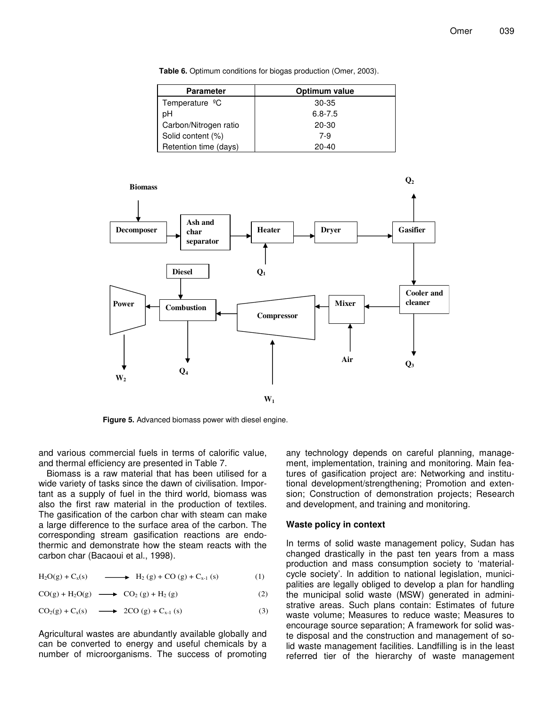**Table 6.** Optimum conditions for biogas production (Omer, 2003).

| <b>Parameter</b>           | Optimum value |
|----------------------------|---------------|
| Temperature <sup>o</sup> C | $30-35$       |
| рH                         | $6.8 - 7.5$   |
| Carbon/Nitrogen ratio      | $20 - 30$     |
| Solid content (%)          | 7-9           |
| Retention time (days)      | $20 - 40$     |



**Figure 5.** Advanced biomass power with diesel engine.

and various commercial fuels in terms of calorific value, and thermal efficiency are presented in Table 7.

Biomass is a raw material that has been utilised for a wide variety of tasks since the dawn of civilisation. Important as a supply of fuel in the third world, biomass was also the first raw material in the production of textiles. The gasification of the carbon char with steam can make a large difference to the surface area of the carbon. The corresponding stream gasification reactions are endothermic and demonstrate how the steam reacts with the carbon char (Bacaoui et al., 1998).

 $H_2O(g) + C_x(s)$   $\longrightarrow H_2(g) + CO(g) + C_{x-1}(s)$  (1)

 $CO(g) + H_2O(g) \longrightarrow CO_2(g) + H_2(g)$  (2)

$$
CO2(g) + Cx(s) \longrightarrow 2CO(g) + Cx-1(s)
$$
 (3)

Agricultural wastes are abundantly available globally and can be converted to energy and useful chemicals by a number of microorganisms. The success of promoting

any technology depends on careful planning, management, implementation, training and monitoring. Main features of gasification project are: Networking and institutional development/strengthening; Promotion and extension; Construction of demonstration projects; Research and development, and training and monitoring.

#### **Waste policy in context**

In terms of solid waste management policy, Sudan has changed drastically in the past ten years from a mass production and mass consumption society to 'materialcycle society'. In addition to national legislation, municipalities are legally obliged to develop a plan for handling the municipal solid waste (MSW) generated in administrative areas. Such plans contain: Estimates of future waste volume; Measures to reduce waste; Measures to encourage source separation; A framework for solid waste disposal and the construction and management of solid waste management facilities. Landfilling is in the least referred tier of the hierarchy of waste management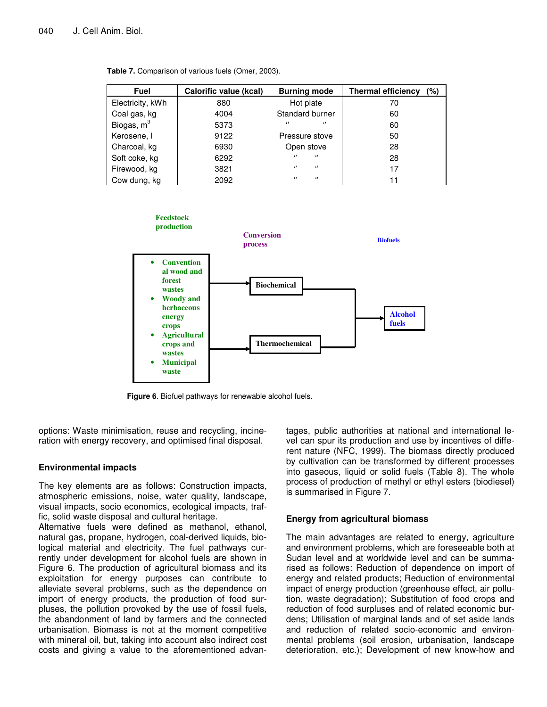| Fuel                   | Calorific value (kcal) | <b>Burning mode</b>             | (%)<br><b>Thermal efficiency</b> |
|------------------------|------------------------|---------------------------------|----------------------------------|
| Electricity, kWh       | 880                    | Hot plate                       | 70                               |
| Coal gas, kg           | 4004                   | Standard burner                 | 60                               |
| Biogas, m <sup>3</sup> | 5373                   | $\epsilon$<br>$^{13}$           | 60                               |
| Kerosene, I            | 9122                   | Pressure stove                  | 50                               |
| Charcoal, kg           | 6930                   | Open stove                      | 28                               |
| Soft coke, kg          | 6292                   | $\epsilon$<br>$\epsilon$        | 28                               |
| Firewood, kg           | 3821                   | $\ddot{\phantom{1}}$<br>$^{11}$ | 17                               |
| Cow dung, kg           | 2092                   | £9.<br>$\bullet$                |                                  |

| Table 7. Comparison of various fuels (Omer, 2003). |  |  |  |
|----------------------------------------------------|--|--|--|
|----------------------------------------------------|--|--|--|



**Figure 6**. Biofuel pathways for renewable alcohol fuels.

options: Waste minimisation, reuse and recycling, incineration with energy recovery, and optimised final disposal.

#### **Environmental impacts**

The key elements are as follows: Construction impacts, atmospheric emissions, noise, water quality, landscape, visual impacts, socio economics, ecological impacts, traffic, solid waste disposal and cultural heritage.

Alternative fuels were defined as methanol, ethanol, natural gas, propane, hydrogen, coal-derived liquids, biological material and electricity. The fuel pathways currently under development for alcohol fuels are shown in Figure 6. The production of agricultural biomass and its exploitation for energy purposes can contribute to alleviate several problems, such as the dependence on import of energy products, the production of food surpluses, the pollution provoked by the use of fossil fuels, the abandonment of land by farmers and the connected urbanisation. Biomass is not at the moment competitive with mineral oil, but, taking into account also indirect cost costs and giving a value to the aforementioned advantages, public authorities at national and international level can spur its production and use by incentives of different nature (NFC, 1999). The biomass directly produced by cultivation can be transformed by different processes into gaseous, liquid or solid fuels (Table 8). The whole process of production of methyl or ethyl esters (biodiesel) is summarised in Figure 7.

## **Energy from agricultural biomass**

The main advantages are related to energy, agriculture and environment problems, which are foreseeable both at Sudan level and at worldwide level and can be summarised as follows: Reduction of dependence on import of energy and related products; Reduction of environmental impact of energy production (greenhouse effect, air pollution, waste degradation); Substitution of food crops and reduction of food surpluses and of related economic burdens; Utilisation of marginal lands and of set aside lands and reduction of related socio-economic and environmental problems (soil erosion, urbanisation, landscape deterioration, etc.); Development of new know-how and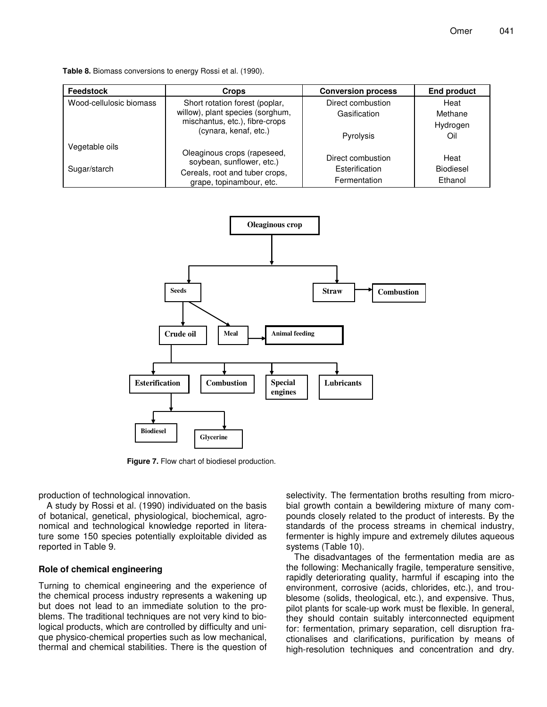| Table 8. Biomass conversions to energy Rossi et al. (1990). |  |  |
|-------------------------------------------------------------|--|--|
|-------------------------------------------------------------|--|--|

| <b>Feedstock</b>        | <b>Crops</b>                                            | <b>Conversion process</b> | <b>End product</b> |
|-------------------------|---------------------------------------------------------|---------------------------|--------------------|
| Wood-cellulosic biomass | Short rotation forest (poplar,                          | Direct combustion         | Heat               |
|                         | willow), plant species (sorghum,                        | Gasification              | Methane            |
|                         | mischantus, etc.), fibre-crops<br>(cynara, kenaf, etc.) |                           | Hydrogen           |
|                         |                                                         | Pyrolysis                 | Oil                |
| Vegetable oils          | Oleaginous crops (rapeseed,                             |                           |                    |
|                         | soybean, sunflower, etc.)                               | Direct combustion         | Heat               |
| Sugar/starch            | Cereals, root and tuber crops,                          | Esterification            | <b>Biodiesel</b>   |
|                         | grape, topinambour, etc.                                | Fermentation              | Ethanol            |



**Figure 7.** Flow chart of biodiesel production.

production of technological innovation.

A study by Rossi et al. (1990) individuated on the basis of botanical, genetical, physiological, biochemical, agronomical and technological knowledge reported in literature some 150 species potentially exploitable divided as reported in Table 9.

#### **Role of chemical engineering**

Turning to chemical engineering and the experience of the chemical process industry represents a wakening up but does not lead to an immediate solution to the problems. The traditional techniques are not very kind to biological products, which are controlled by difficulty and unique physico-chemical properties such as low mechanical, thermal and chemical stabilities. There is the question of selectivity. The fermentation broths resulting from microbial growth contain a bewildering mixture of many compounds closely related to the product of interests. By the standards of the process streams in chemical industry, fermenter is highly impure and extremely dilutes aqueous systems (Table 10).

The disadvantages of the fermentation media are as the following: Mechanically fragile, temperature sensitive, rapidly deteriorating quality, harmful if escaping into the environment, corrosive (acids, chlorides, etc.), and troublesome (solids, theological, etc.), and expensive. Thus, pilot plants for scale-up work must be flexible. In general, they should contain suitably interconnected equipment for: fermentation, primary separation, cell disruption fractionalises and clarifications, purification by means of high-resolution techniques and concentration and dry.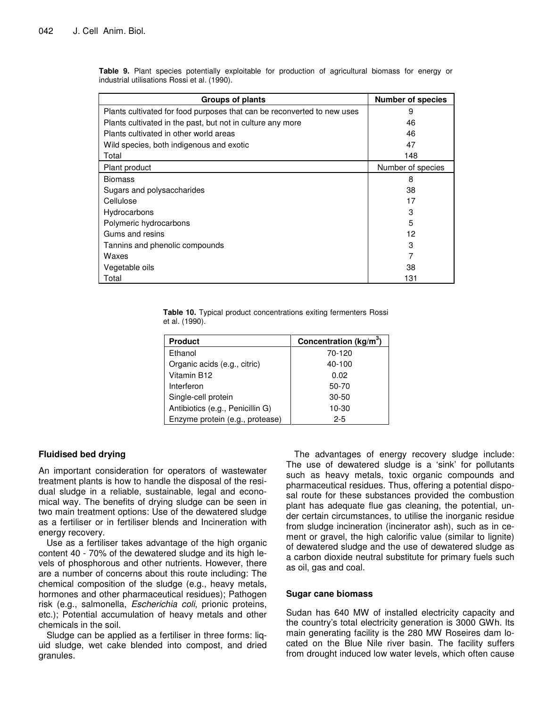| <b>Groups of plants</b>                                                 | <b>Number of species</b> |
|-------------------------------------------------------------------------|--------------------------|
| Plants cultivated for food purposes that can be reconverted to new uses | 9                        |
| Plants cultivated in the past, but not in culture any more              | 46                       |
| Plants cultivated in other world areas                                  | 46                       |
| Wild species, both indigenous and exotic                                | 47                       |
| Total                                                                   | 148                      |
| Plant product                                                           | Number of species        |
| <b>Biomass</b>                                                          | 8                        |
| Sugars and polysaccharides                                              | 38                       |
| Cellulose                                                               | 17                       |
| Hydrocarbons                                                            | 3                        |
| Polymeric hydrocarbons                                                  | 5                        |
| Gums and resins                                                         | 12                       |
| Tannins and phenolic compounds                                          | 3                        |
| Waxes                                                                   |                          |
| Vegetable oils                                                          | 38                       |
| Total                                                                   | 131                      |

**Table 9.** Plant species potentially exploitable for production of agricultural biomass for energy or industrial utilisations Rossi et al. (1990).

> **Table 10.** Typical product concentrations exiting fermenters Rossi et al. (1990).

| <b>Product</b>                   | Concentration (kg/m <sup>3</sup> ) |  |  |  |  |  |  |
|----------------------------------|------------------------------------|--|--|--|--|--|--|
| Ethanol                          | 70-120                             |  |  |  |  |  |  |
| Organic acids (e.g., citric)     | 40-100                             |  |  |  |  |  |  |
| Vitamin B12                      | 0.02                               |  |  |  |  |  |  |
| Interferon                       | 50-70                              |  |  |  |  |  |  |
| Single-cell protein              | $30 - 50$                          |  |  |  |  |  |  |
| Antibiotics (e.g., Penicillin G) | 10-30                              |  |  |  |  |  |  |
| Enzyme protein (e.g., protease)  | 2-5                                |  |  |  |  |  |  |

## **Fluidised bed drying**

An important consideration for operators of wastewater treatment plants is how to handle the disposal of the residual sludge in a reliable, sustainable, legal and economical way. The benefits of drying sludge can be seen in two main treatment options: Use of the dewatered sludge as a fertiliser or in fertiliser blends and Incineration with energy recovery.

Use as a fertiliser takes advantage of the high organic content 40 - 70% of the dewatered sludge and its high levels of phosphorous and other nutrients. However, there are a number of concerns about this route including: The chemical composition of the sludge (e.g., heavy metals, hormones and other pharmaceutical residues); Pathogen risk (e.g., salmonella, *Escherichia coli*, prionic proteins, etc.); Potential accumulation of heavy metals and other chemicals in the soil.

Sludge can be applied as a fertiliser in three forms: liquid sludge, wet cake blended into compost, and dried granules.

The advantages of energy recovery sludge include: The use of dewatered sludge is a 'sink' for pollutants such as heavy metals, toxic organic compounds and pharmaceutical residues. Thus, offering a potential disposal route for these substances provided the combustion plant has adequate flue gas cleaning, the potential, under certain circumstances, to utilise the inorganic residue from sludge incineration (incinerator ash), such as in cement or gravel, the high calorific value (similar to lignite) of dewatered sludge and the use of dewatered sludge as a carbon dioxide neutral substitute for primary fuels such as oil, gas and coal.

## **Sugar cane biomass**

Sudan has 640 MW of installed electricity capacity and the country's total electricity generation is 3000 GWh. Its main generating facility is the 280 MW Roseires dam located on the Blue Nile river basin. The facility suffers from drought induced low water levels, which often cause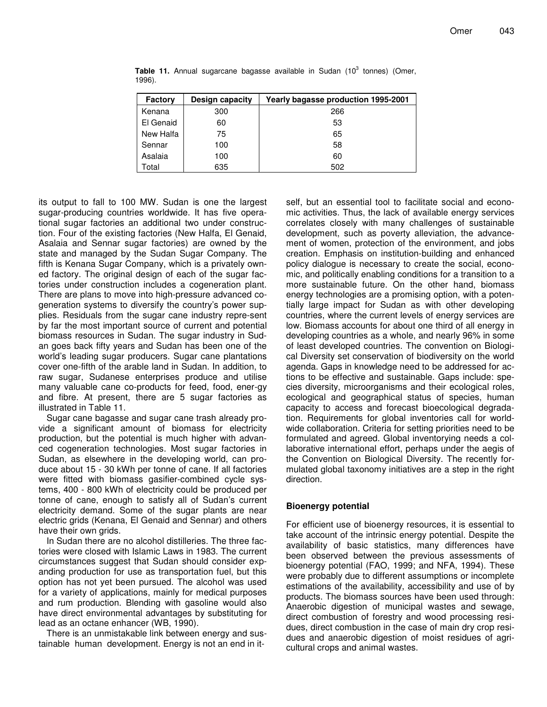| <b>Factory</b> | Design capacity | Yearly bagasse production 1995-2001 |  |  |  |  |  |
|----------------|-----------------|-------------------------------------|--|--|--|--|--|
| Kenana         | 300             | 266                                 |  |  |  |  |  |
| El Genaid      | 60              | 53                                  |  |  |  |  |  |
| New Halfa      | 75              | 65                                  |  |  |  |  |  |
| Sennar         | 100             | 58                                  |  |  |  |  |  |
| Asalaia        | 100             | 60                                  |  |  |  |  |  |
| Total          | 635             | 502                                 |  |  |  |  |  |

Table 11. Annual sugarcane bagasse available in Sudan (10<sup>3</sup> tonnes) (Omer, 1996).

its output to fall to 100 MW. Sudan is one the largest sugar-producing countries worldwide. It has five operational sugar factories an additional two under construction. Four of the existing factories (New Halfa, El Genaid, Asalaia and Sennar sugar factories) are owned by the state and managed by the Sudan Sugar Company. The fifth is Kenana Sugar Company, which is a privately owned factory. The original design of each of the sugar factories under construction includes a cogeneration plant. There are plans to move into high-pressure advanced cogeneration systems to diversify the country's power supplies. Residuals from the sugar cane industry repre-sent by far the most important source of current and potential biomass resources in Sudan. The sugar industry in Sudan goes back fifty years and Sudan has been one of the world's leading sugar producers. Sugar cane plantations cover one-fifth of the arable land in Sudan. In addition, to raw sugar, Sudanese enterprises produce and utilise many valuable cane co-products for feed, food, ener-gy and fibre. At present, there are 5 sugar factories as illustrated in Table 11.

Sugar cane bagasse and sugar cane trash already provide a significant amount of biomass for electricity production, but the potential is much higher with advanced cogeneration technologies. Most sugar factories in Sudan, as elsewhere in the developing world, can produce about 15 - 30 kWh per tonne of cane. If all factories were fitted with biomass gasifier-combined cycle systems, 400 - 800 kWh of electricity could be produced per tonne of cane, enough to satisfy all of Sudan's current electricity demand. Some of the sugar plants are near electric grids (Kenana, El Genaid and Sennar) and others have their own grids.

In Sudan there are no alcohol distilleries. The three factories were closed with Islamic Laws in 1983. The current circumstances suggest that Sudan should consider expanding production for use as transportation fuel, but this option has not yet been pursued. The alcohol was used for a variety of applications, mainly for medical purposes and rum production. Blending with gasoline would also have direct environmental advantages by substituting for lead as an octane enhancer (WB, 1990).

There is an unmistakable link between energy and sustainable human development. Energy is not an end in it-

self, but an essential tool to facilitate social and economic activities. Thus, the lack of available energy services correlates closely with many challenges of sustainable development, such as poverty alleviation, the advancement of women, protection of the environment, and jobs creation. Emphasis on institution-building and enhanced policy dialogue is necessary to create the social, economic, and politically enabling conditions for a transition to a more sustainable future. On the other hand, biomass energy technologies are a promising option, with a potentially large impact for Sudan as with other developing countries, where the current levels of energy services are low. Biomass accounts for about one third of all energy in developing countries as a whole, and nearly 96% in some of least developed countries. The convention on Biological Diversity set conservation of biodiversity on the world agenda. Gaps in knowledge need to be addressed for actions to be effective and sustainable. Gaps include: species diversity, microorganisms and their ecological roles, ecological and geographical status of species, human capacity to access and forecast bioecological degradation. Requirements for global inventories call for worldwide collaboration. Criteria for setting priorities need to be formulated and agreed. Global inventorying needs a collaborative international effort, perhaps under the aegis of the Convention on Biological Diversity. The recently formulated global taxonomy initiatives are a step in the right direction.

## **Bioenergy potential**

For efficient use of bioenergy resources, it is essential to take account of the intrinsic energy potential. Despite the availability of basic statistics, many differences have been observed between the previous assessments of bioenergy potential (FAO, 1999; and NFA, 1994). These were probably due to different assumptions or incomplete estimations of the availability, accessibility and use of by products. The biomass sources have been used through: Anaerobic digestion of municipal wastes and sewage, direct combustion of forestry and wood processing residues, direct combustion in the case of main dry crop residues and anaerobic digestion of moist residues of agricultural crops and animal wastes.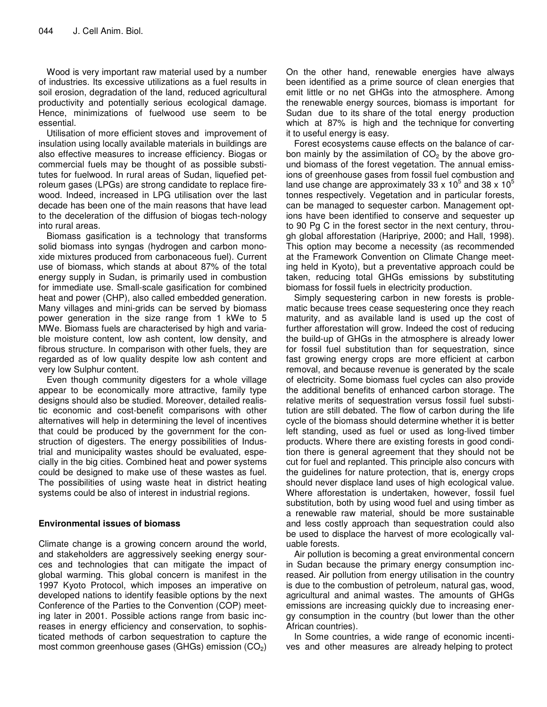Wood is very important raw material used by a number of industries. Its excessive utilizations as a fuel results in soil erosion, degradation of the land, reduced agricultural productivity and potentially serious ecological damage. Hence, minimizations of fuelwood use seem to be essential.

Utilisation of more efficient stoves and improvement of insulation using locally available materials in buildings are also effective measures to increase efficiency. Biogas or commercial fuels may be thought of as possible substitutes for fuelwood. In rural areas of Sudan, liquefied petroleum gases (LPGs) are strong candidate to replace firewood. Indeed, increased in LPG utilisation over the last decade has been one of the main reasons that have lead to the deceleration of the diffusion of biogas tech-nology into rural areas.

Biomass gasification is a technology that transforms solid biomass into syngas (hydrogen and carbon monoxide mixtures produced from carbonaceous fuel). Current use of biomass, which stands at about 87% of the total energy supply in Sudan, is primarily used in combustion for immediate use. Small-scale gasification for combined heat and power (CHP), also called embedded generation. Many villages and mini-grids can be served by biomass power generation in the size range from 1 kWe to 5 MWe. Biomass fuels are characterised by high and variable moisture content, low ash content, low density, and fibrous structure. In comparison with other fuels, they are regarded as of low quality despite low ash content and very low Sulphur content.

Even though community digesters for a whole village appear to be economically more attractive, family type designs should also be studied. Moreover, detailed realistic economic and cost-benefit comparisons with other alternatives will help in determining the level of incentives that could be produced by the government for the construction of digesters. The energy possibilities of Industrial and municipality wastes should be evaluated, especially in the big cities. Combined heat and power systems could be designed to make use of these wastes as fuel. The possibilities of using waste heat in district heating systems could be also of interest in industrial regions.

## **Environmental issues of biomass**

Climate change is a growing concern around the world, and stakeholders are aggressively seeking energy sources and technologies that can mitigate the impact of global warming. This global concern is manifest in the 1997 Kyoto Protocol, which imposes an imperative on developed nations to identify feasible options by the next Conference of the Parties to the Convention (COP) meeting later in 2001. Possible actions range from basic increases in energy efficiency and conservation, to sophisticated methods of carbon sequestration to capture the most common greenhouse gases (GHGs) emission  $(CO<sub>2</sub>)$  On the other hand, renewable energies have always been identified as a prime source of clean energies that emit little or no net GHGs into the atmosphere. Among the renewable energy sources, biomass is important for Sudan due to its share of the total energy production which at 87% is high and the technique for converting it to useful energy is easy.

Forest ecosystems cause effects on the balance of carbon mainly by the assimilation of  $CO<sub>2</sub>$  by the above ground biomass of the forest vegetation. The annual emissions of greenhouse gases from fossil fuel combustion and land use change are approximately 33 x 10<sup>5</sup> and 38 x 10<sup>5</sup> tonnes respectively. Vegetation and in particular forests, can be managed to sequester carbon. Management options have been identified to conserve and sequester up to 90 Pg C in the forest sector in the next century, through global afforestation (Haripriye, 2000; and Hall, 1998). This option may become a necessity (as recommended at the Framework Convention on Climate Change meeting held in Kyoto), but a preventative approach could be taken, reducing total GHGs emissions by substituting biomass for fossil fuels in electricity production.

Simply sequestering carbon in new forests is problematic because trees cease sequestering once they reach maturity, and as available land is used up the cost of further afforestation will grow. Indeed the cost of reducing the build-up of GHGs in the atmosphere is already lower for fossil fuel substitution than for sequestration, since fast growing energy crops are more efficient at carbon removal, and because revenue is generated by the scale of electricity. Some biomass fuel cycles can also provide the additional benefits of enhanced carbon storage. The relative merits of sequestration versus fossil fuel substitution are still debated. The flow of carbon during the life cycle of the biomass should determine whether it is better left standing, used as fuel or used as long-lived timber products. Where there are existing forests in good condition there is general agreement that they should not be cut for fuel and replanted. This principle also concurs with the guidelines for nature protection, that is, energy crops should never displace land uses of high ecological value. Where afforestation is undertaken, however, fossil fuel substitution, both by using wood fuel and using timber as a renewable raw material, should be more sustainable and less costly approach than sequestration could also be used to displace the harvest of more ecologically valuable forests.

Air pollution is becoming a great environmental concern in Sudan because the primary energy consumption increased. Air pollution from energy utilisation in the country is due to the combustion of petroleum, natural gas, wood, agricultural and animal wastes. The amounts of GHGs emissions are increasing quickly due to increasing energy consumption in the country (but lower than the other African countries).

In Some countries, a wide range of economic incentives and other measures are already helping to protect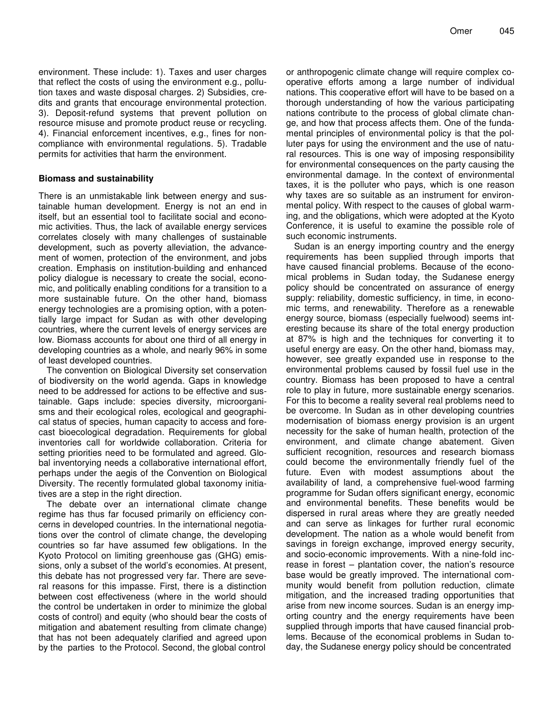environment. These include: 1). Taxes and user charges that reflect the costs of using the environment e.g., pollution taxes and waste disposal charges. 2) Subsidies, credits and grants that encourage environmental protection. 3). Deposit-refund systems that prevent pollution on resource misuse and promote product reuse or recycling. 4). Financial enforcement incentives, e.g., fines for noncompliance with environmental regulations. 5). Tradable permits for activities that harm the environment.

### **Biomass and sustainability**

There is an unmistakable link between energy and sustainable human development. Energy is not an end in itself, but an essential tool to facilitate social and economic activities. Thus, the lack of available energy services correlates closely with many challenges of sustainable development, such as poverty alleviation, the advancement of women, protection of the environment, and jobs creation. Emphasis on institution-building and enhanced policy dialogue is necessary to create the social, economic, and politically enabling conditions for a transition to a more sustainable future. On the other hand, biomass energy technologies are a promising option, with a potentially large impact for Sudan as with other developing countries, where the current levels of energy services are low. Biomass accounts for about one third of all energy in developing countries as a whole, and nearly 96% in some of least developed countries.

The convention on Biological Diversity set conservation of biodiversity on the world agenda. Gaps in knowledge need to be addressed for actions to be effective and sustainable. Gaps include: species diversity, microorganisms and their ecological roles, ecological and geographical status of species, human capacity to access and forecast bioecological degradation. Requirements for global inventories call for worldwide collaboration. Criteria for setting priorities need to be formulated and agreed. Global inventorying needs a collaborative international effort, perhaps under the aegis of the Convention on Biological Diversity. The recently formulated global taxonomy initiatives are a step in the right direction.

The debate over an international climate change regime has thus far focused primarily on efficiency concerns in developed countries. In the international negotiations over the control of climate change, the developing countries so far have assumed few obligations. In the Kyoto Protocol on limiting greenhouse gas (GHG) emissions, only a subset of the world's economies. At present, this debate has not progressed very far. There are several reasons for this impasse. First, there is a distinction between cost effectiveness (where in the world should the control be undertaken in order to minimize the global costs of control) and equity (who should bear the costs of mitigation and abatement resulting from climate change) that has not been adequately clarified and agreed upon by the parties to the Protocol. Second, the global control

or anthropogenic climate change will require complex cooperative efforts among a large number of individual nations. This cooperative effort will have to be based on a thorough understanding of how the various participating nations contribute to the process of global climate change, and how that process affects them. One of the fundamental principles of environmental policy is that the polluter pays for using the environment and the use of natural resources. This is one way of imposing responsibility for environmental consequences on the party causing the environmental damage. In the context of environmental taxes, it is the polluter who pays, which is one reason why taxes are so suitable as an instrument for environmental policy. With respect to the causes of global warming, and the obligations, which were adopted at the Kyoto Conference, it is useful to examine the possible role of such economic instruments.

Sudan is an energy importing country and the energy requirements has been supplied through imports that have caused financial problems. Because of the economical problems in Sudan today, the Sudanese energy policy should be concentrated on assurance of energy supply: reliability, domestic sufficiency, in time, in economic terms, and renewability. Therefore as a renewable energy source, biomass (especially fuelwood) seems interesting because its share of the total energy production at 87% is high and the techniques for converting it to useful energy are easy. On the other hand, biomass may, however, see greatly expanded use in response to the environmental problems caused by fossil fuel use in the country. Biomass has been proposed to have a central role to play in future, more sustainable energy scenarios. For this to become a reality several real problems need to be overcome. In Sudan as in other developing countries modernisation of biomass energy provision is an urgent necessity for the sake of human health, protection of the environment, and climate change abatement. Given sufficient recognition, resources and research biomass could become the environmentally friendly fuel of the future. Even with modest assumptions about the availability of land, a comprehensive fuel-wood farming programme for Sudan offers significant energy, economic and environmental benefits. These benefits would be dispersed in rural areas where they are greatly needed and can serve as linkages for further rural economic development. The nation as a whole would benefit from savings in foreign exchange, improved energy security, and socio-economic improvements. With a nine-fold increase in forest – plantation cover, the nation's resource base would be greatly improved. The international community would benefit from pollution reduction, climate mitigation, and the increased trading opportunities that arise from new income sources. Sudan is an energy importing country and the energy requirements have been supplied through imports that have caused financial problems. Because of the economical problems in Sudan today, the Sudanese energy policy should be concentrated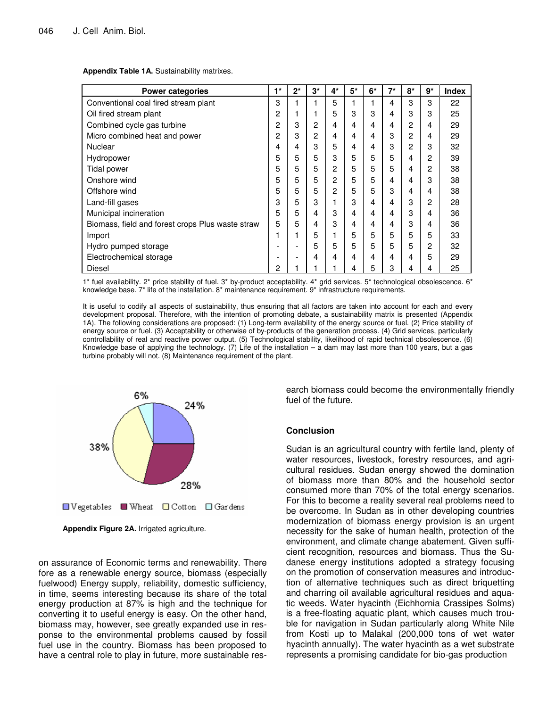#### **Appendix Table 1A.** Sustainability matrixes.

| <b>Power categories</b>                          | $1*$ | $2^*$ | $3^*$ | 4*             | 5* | $6*$ | $\mathbf{7}^{\star}$ | 8*             | 9*             | <b>Index</b> |
|--------------------------------------------------|------|-------|-------|----------------|----|------|----------------------|----------------|----------------|--------------|
| Conventional coal fired stream plant             | 3    |       |       | 5              |    | 1    | 4                    | 3              | 3              | 22           |
| Oil fired stream plant                           | 2    |       |       | 5              | 3  | 3    | 4                    | 3              | 3              | 25           |
| Combined cycle gas turbine                       | 2    | 3     | 2     | 4              | 4  | 4    | 4                    | 2              | 4              | 29           |
| Micro combined heat and power                    | 2    | 3     | 2     | 4              | 4  | 4    | 3                    | $\mathbf{2}$   | 4              | 29           |
| Nuclear                                          | 4    | 4     | 3     | 5              | 4  | 4    | 3                    | $\overline{c}$ | 3              | 32           |
| Hydropower                                       | 5    | 5     | 5     | 3              | 5  | 5    | 5                    | 4              | $\overline{2}$ | 39           |
| Tidal power                                      | 5    | 5     | 5     | $\overline{2}$ | 5  | 5    | 5                    | 4              | 2              | 38           |
| Onshore wind                                     | 5    | 5     | 5     | 2              | 5  | 5    | 4                    | 4              | 3              | 38           |
| Offshore wind                                    | 5    | 5     | 5     | $\mathbf{2}$   | 5  | 5    | 3                    | 4              | 4              | 38           |
| Land-fill gases                                  | 3    | 5     | 3     | ٠              | 3  | 4    | 4                    | 3              | 2              | 28           |
| Municipal incineration                           | 5    | 5     | 4     | 3              | 4  | 4    | 4                    | 3              | 4              | 36           |
| Biomass, field and forest crops Plus waste straw | 5    | 5     | 4     | 3              | 4  | 4    | 4                    | 3              | 4              | 36           |
| Import                                           |      |       | 5     | 4              | 5  | 5    | 5                    | 5              | 5              | 33           |
| Hydro pumped storage                             |      |       | 5     | 5              | 5  | 5    | 5                    | 5              | 2              | 32           |
| Electrochemical storage                          |      |       | 4     | 4              | 4  | 4    | 4                    | 4              | 5              | 29           |
| <b>Diesel</b>                                    | 2    |       |       |                | 4  | 5    | 3                    | 4              | 4              | 25           |

1\* fuel availability. 2\* price stability of fuel. 3\* by-product acceptability. 4\* grid services. 5\* technological obsolescence. 6\* knowledge base. 7\* life of the installation. 8\* maintenance requirement. 9\* infrastructure requirements.

It is useful to codify all aspects of sustainability, thus ensuring that all factors are taken into account for each and every development proposal. Therefore, with the intention of promoting debate, a sustainability matrix is presented (Appendix 1A). The following considerations are proposed: (1) Long-term availability of the energy source or fuel. (2) Price stability of energy source or fuel. (3) Acceptability or otherwise of by-products of the generation process. (4) Grid services, particularly controllability of real and reactive power output. (5) Technological stability, likelihood of rapid technical obsolescence. (6) Knowledge base of applying the technology. (7) Life of the installation – a dam may last more than 100 years, but a gas turbine probably will not. (8) Maintenance requirement of the plant.



**Appendix Figure 2A.** Irrigated agriculture.

on assurance of Economic terms and renewability. There fore as a renewable energy source, biomass (especially fuelwood) Energy supply, reliability, domestic sufficiency, in time, seems interesting because its share of the total energy production at 87% is high and the technique for converting it to useful energy is easy. On the other hand, biomass may, however, see greatly expanded use in response to the environmental problems caused by fossil fuel use in the country. Biomass has been proposed to have a central role to play in future, more sustainable res-

earch biomass could become the environmentally friendly fuel of the future.

#### **Conclusion**

Sudan is an agricultural country with fertile land, plenty of water resources, livestock, forestry resources, and agricultural residues. Sudan energy showed the domination of biomass more than 80% and the household sector consumed more than 70% of the total energy scenarios. For this to become a reality several real problems need to be overcome. In Sudan as in other developing countries modernization of biomass energy provision is an urgent necessity for the sake of human health, protection of the environment, and climate change abatement. Given sufficient recognition, resources and biomass. Thus the Sudanese energy institutions adopted a strategy focusing on the promotion of conservation measures and introduction of alternative techniques such as direct briquetting and charring oil available agricultural residues and aquatic weeds. Water hyacinth (Eichhornia Crassipes Solms) is a free-floating aquatic plant, which causes much trouble for navigation in Sudan particularly along White Nile from Kosti up to Malakal (200,000 tons of wet water hyacinth annually). The water hyacinth as a wet substrate represents a promising candidate for bio-gas production